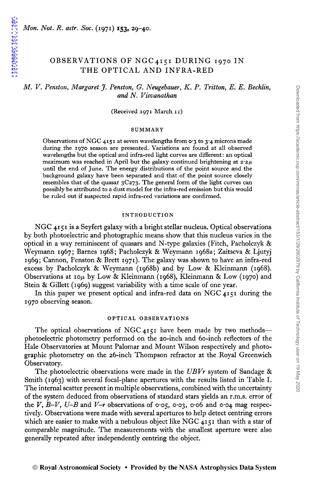1971MNRAS.153...29P

# OBSERVATIONS OF NGC4151 DURING 1970 IN THE OPTICAL AND INFRA-RED

# *M. V. Penston, Margaret* J. *Penston, G. Neugebauer, K. P. Tritton, E. E. Becklin, and N. Visvanathan*

(Received 1971 March 11)

#### SUMMARY

Observations of NGC 4151 at seven wavelengths from  $\sigma$ 3 to 3.4 microns made during the 1970 season are presented. Variations are found at all observed wavelengths but the optical and infra-red light curves are different: an optical maximum was reached in April but the galaxy continued brightening at *2·2µ.*  until the end of June. The energy distributions of the point source and the background galaxy have been separated and that of the point source Closely resembles that of the quasar 3C273. The general form of the light curves can possibly be attributed to a dust model for the infra-red emission but this would be ruled out if suspected rapid infra-red variations are confirmed.

#### INTRODUCTION

NGC 4151 is a Seyfert galaxy with a bright stellar nucleus. Optical observations by both photoelectric and photographic means show that this nucleus varies in the optical in a way reminiscent of quasars and N-type galaxies (Fitch, Pacholczyk & Weymann 1967; Barnes 1968; Pacholczyk & Weymann 1968a; Zaitseva & Ljutyj 1969; Cannon, Penston & Brett 1971). The galaxy was shown to have an infra-red excess by Pacholczyk & Weymann (1968b) and by Low & Kleinmann (1968). Observations at 10 $\mu$  by Low & Kleinmann (1968), Kleinmann & Low (1970) and Stein & Gillett (1969) suggest variability with a time scale of one year.

In this paper we present optical and infra-red data on NGC 4151 during the 1970 observing season.

#### OPTICAL OBSERVATIONS

The optical observations of NGC 4151 have been made by two methodsphotoelectric photometry performed on the 20-inch and 60-inch reflectors of the Hale Observatories at Mount Palomar and Mount Wilson respectively and photographic photometry on the 26-inch Thompson refractor at the Royal Greenwich Observatory.

The photoelectric observations were made in the *UBVr* system of Sandage & Smith (1963) with several focal-plane apertures with the results listed in Table I. The internal scatter present in multiple observations, combined with the uncertainty of the system deduced from observations of standard stars yields an r.m.s. error of the *V*, *B-V*, *U-B* and *V-r* observations of 0.05, 0.03, 0.06 and 0.04 mag respectively. Observations were made with several apertures to help detect centring errors which are easier to make with a nebulous object like NGC 4151 than with a star of comparable magnitude. The measurements with the smallest aperture were also generally repeated after independently centring the object.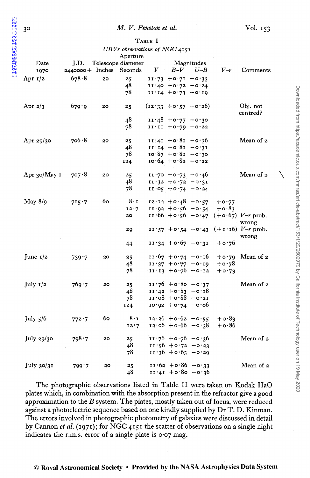### M. V. Penston et al.

TABLE I

| Date<br>1970   | $2440000 +$ Inches Seconds | J.D. Telescope diameter | Aperture    |                                         |                                         |                                                      |                                                  |
|----------------|----------------------------|-------------------------|-------------|-----------------------------------------|-----------------------------------------|------------------------------------------------------|--------------------------------------------------|
|                |                            |                         |             |                                         |                                         |                                                      |                                                  |
|                |                            |                         |             | Magnitudes                              |                                         |                                                      |                                                  |
|                |                            |                         |             | $V$ $B-V$ $U-B$                         |                                         | $V-r$                                                | Comments                                         |
| Apr $1/2$      | 678.8                      | 20                      | 25          | $11.73 + 0.71 - 0.33$                   |                                         |                                                      |                                                  |
|                |                            |                         | 48          | $11 \cdot 40 + 0 \cdot 72 - 0 \cdot 24$ |                                         |                                                      |                                                  |
|                |                            |                         | 78          | $11.14 + 0.73 - 0.19$                   |                                         |                                                      |                                                  |
| Apr $2/3$      | 679.9                      | 20                      | 25          |                                         | $(12.33 + 0.57 - 0.26)$                 |                                                      | Obj. not<br>centred?                             |
|                |                            |                         | 48          | $11.48 + 0.77 - 0.30$                   |                                         |                                                      |                                                  |
|                |                            |                         | 78          | $11'11 + 0'79 - 0'22$                   |                                         |                                                      |                                                  |
| Apr $29/30$    | 706.8                      | 20                      | 25          | $11:41 + 0.81 - 0.36$                   |                                         |                                                      | Mean of 2                                        |
|                |                            |                         | 48          | $11.14 + 0.81 - 0.31$                   |                                         |                                                      |                                                  |
|                |                            |                         | 78          | $10.87 + 0.81 - 0.30$                   |                                         |                                                      |                                                  |
|                |                            |                         | 124         | $10.64 + 0.82 - 0.22$                   |                                         |                                                      |                                                  |
|                |                            |                         |             |                                         |                                         |                                                      |                                                  |
| Apr $30/May$ 1 | 707.8                      | 20                      | 25          | $11.70 + 0.73 - 0.46$                   |                                         |                                                      | Mean of 2                                        |
|                |                            |                         | 48          | $11.32 + 0.72 - 0.31$                   |                                         |                                                      |                                                  |
|                |                            |                         | 78          | $11.05 + 0.74 - 0.24$                   |                                         |                                                      |                                                  |
|                |                            |                         |             |                                         |                                         |                                                      |                                                  |
| May $8/9$      | 715.7                      | 60                      | $8 \cdot I$ |                                         | $12.12 + 0.48 - 0.57$                   | $+$ 0.77                                             |                                                  |
|                |                            |                         | 12.7        |                                         |                                         | $11.92 + 0.56 - 0.54 + 0.83$                         |                                                  |
|                |                            |                         | 20          |                                         |                                         |                                                      | $11.66 + 0.56 - 0.47$ (+0.67) V-r prob.<br>wrong |
|                |                            |                         | 29          |                                         |                                         |                                                      | $11.57 + 0.54 - 0.43$ (+1.16) V-r prob.<br>wrong |
|                |                            |                         | 44          |                                         |                                         | $11 \cdot 34 + 0 \cdot 67 - 0 \cdot 31 + 0 \cdot 76$ |                                                  |
| June $1/2$     | 739.7                      | 20                      | 25          |                                         | $11.67 + 0.74 - 0.16$                   |                                                      | $+o.79$ Mean of 2                                |
|                |                            |                         | 48          |                                         | $11.37 + 0.77 - 0.19$                   | $+$ 0.78                                             |                                                  |
|                |                            |                         | 78          |                                         | $11'13 + 0'76 - 0'12$                   | $+$ 0.73                                             |                                                  |
|                |                            |                         |             |                                         |                                         |                                                      |                                                  |
| July $I/2$     | 769.7                      | 20                      | 25          | $11.76 + 0.80 - 0.37$                   |                                         |                                                      | Mean of 2                                        |
|                |                            |                         | 48          | $11.42 + 0.83 - 0.18$                   |                                         |                                                      |                                                  |
|                |                            |                         | 78          | $11.08 + 0.88 - 0.21$                   |                                         |                                                      |                                                  |
|                |                            |                         | 124         | $10.92 + 0.74 - 0.06$                   |                                         |                                                      |                                                  |
| July $5/6$     |                            | 60                      | $8 \cdot 1$ |                                         | $12.26 + 0.62 - 0.55$                   | $+\circ \cdot 83$                                    |                                                  |
|                | 772.7                      |                         |             |                                         | $12 \cdot 06 + 0 \cdot 66 - 0 \cdot 38$ |                                                      |                                                  |
|                |                            |                         | 12.7        |                                         |                                         | $+ \circ 86$                                         |                                                  |
| July 29/30     | 798.7                      | 20                      | 25          | $11.76 + 0.76 - 0.36$                   |                                         |                                                      | Mean of 2                                        |
|                |                            |                         | 48          | $11.56 + 0.72 - 0.23$                   |                                         |                                                      |                                                  |
|                |                            |                         | 78          | $11 \cdot 36 + 6 \cdot 63 - 8 \cdot 29$ |                                         |                                                      |                                                  |
| July 30/31     | 799.7                      | 20                      | 25          | $11.62 + 0.86 - 0.33$                   |                                         |                                                      | Mean of 2                                        |
|                |                            |                         | 48          |                                         | $11 \cdot 41 + 0.80 - 0.36$             |                                                      |                                                  |

The photographic observations listed in Table II were taken on Kodak IIaO plates which, in combination with the absorption present in the refractor give a good approximation to the  $B$  system. The plates, mostly taken out of focus, were reduced against a photoelectric sequence based on one kindly supplied by Dr T. D. Kinman. The errors involved in photographic photometry of galaxies were discussed in detail by Cannon et al. (1971); for NGC 4151 the scatter of observations on a single night indicates the r.m.s. error of a single plate is 0.07 mag.

 $3<sup>o</sup>$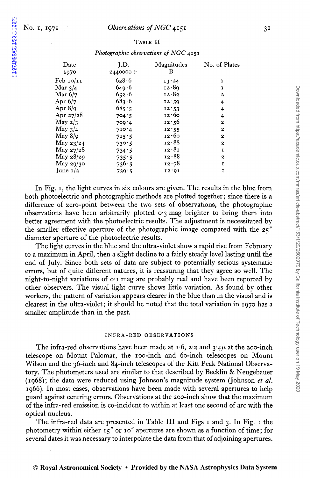1971MMRAS.153...29P

#### TABLE II

#### *Photographic observations of NGC* 4151

| Date<br>1970                       | J.D.<br>$2440000 +$ | Magnitudes<br>В | No. of Plates    |
|------------------------------------|---------------------|-----------------|------------------|
| $\text{Feb}$ $\text{IO}/\text{II}$ | 628.6               | 13.24           | I                |
| Mar $3/4$                          | 649.6               | 12.89           | I                |
| Mar $6/7$                          | 652.6               | 12.82           | 2                |
| Apr $6/7$                          | 683.6               | 12:59           | 4                |
| Apr $8/q$                          | 685.5               | 12.53           | 4                |
| Apr $27/28$                        | 704.5               | 12.60           | 4                |
| May $2/3$                          | 709.4               | 12:56           | $\boldsymbol{2}$ |
| May $3/4$                          | 710.4               | 12.55           | $\boldsymbol{2}$ |
| $May 8$ /9                         | 715:5               | 12.60           | 2                |
| May $23/24$                        | 730.5               | 12.88           | $\mathbf{z}$     |
| May $27/28$                        | 734.5               | 12.81           | I                |
| May $28/29$                        | 735.5               | 12.88           | $\mathbf{z}$     |
| May $29/30$                        | 736.5               | 12.78           | I                |
| June $1/2$                         | 739.5               | 12.01           | 1                |

In Fig. 1, the light curves in six colours are given. The results in the blue from both photoelectric and photographic methods are plotted together; since there is a difference of zero-point between the two sets of observations, the photographic observations have been arbitrarily plotted  $\sigma$ <sup>3</sup> mag brighter to bring them into better agreement with the photoelectric results. The adjustment is necessitated by the smaller effective aperture of the photographic image compared with the 25" diameter aperture of the photoelectric results.

The light curves in the blue and the ultra-violet show a rapid rise from February to a maximum in April, then a slight decline to a fairly steady level lasting until the end of July. Since both sets of data are subject to potentially serious systematic errors, but of quite different natures, it is reassuring that they agree so well. The night-to-night variations of  $o \cdot i$  mag are probably real and have been reported by other observers. The visual light curve shows little variation. As found by other workers, the pattern of variation appears clearer in the blue than in the visual and is clearest in the ultra-violet; it should be noted that the total variation in 1970 has a smaller amplitude than in the past.

#### INFRA-RED OBSERVATIONS

The infra-red observations have been made at  $1.6$ ,  $2.2$  and  $3.4\mu$  at the 200-inch telescope on Mount Palomar, the 100-inch and 60-inch telescopes on Mount Wilson and the 36-inch and 84-inch telescopes of the Kitt Peak National Observatory. The photometers used are similar to that described by Becklin & Neugebauer (1968); the data were reduced using Johnson's magnitude system (Johnson *et al.*  1966). In most cases, observations have been made with several apertures to help guard against centring errors. Observations at the 200-inch show that the maximum of the infra-red emission is co-incident to within at least one second of arc with the optical nucleus.

The infra-red data are presented in Table III and Figs 1 and 3. In Fig. 1 the photometry within either 15" or 10" apertures are shown as a function of time; for several dates it was necessary to interpolate the data from that of adjoining apertures.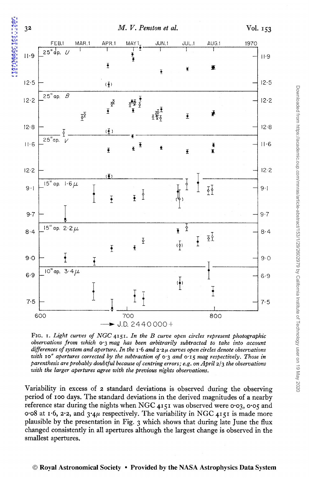$3<sup>2</sup>$ 



FIG. I. Light curves of NGC 4151. In the B curve open circles represent photographic observations from which  $o_3$  mag has been arbitrarily subtracted to take into account differences of system and aperture. In the  $1.6$  and  $2.2\mu$  curves open circles denote observations with 10" apertures corrected by the subtraction of  $\sigma$ 3 and  $\sigma$ 15 mag respectively. Those in parenthesis are probably doubtful because of centring errors; e.g. on April  $2/3$  the observations with the larger apertures agree with the previous nights observations.

Variability in excess of 2 standard deviations is observed during the observing period of 100 days. The standard deviations in the derived magnitudes of a nearby reference star during the nights when NGC 4151 was observed were 0.03, 0.05 and 0.08 at 1.6, 2.2, and  $3.4\mu$  respectively. The variability in NGC 4151 is made more plausible by the presentation in Fig. 3 which shows that during late June the flux changed consistently in all apertures although the largest change is observed in the smallest apertures.

#### © Royal Astronomical Society • Provided by the NASA Astrophysics Data System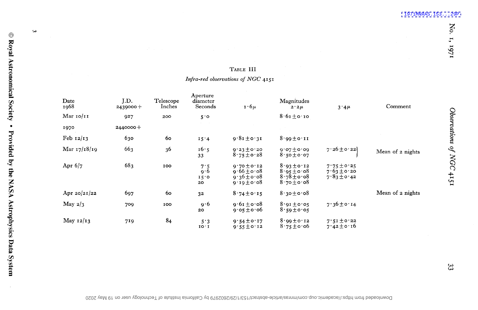# TABLE III

# Infra-red observations of NGC 4151

| Date<br>1968   | J.D.<br>$2439000 +$ | Telescope<br>Inches | Aperture<br>diameter<br>Seconds | $1.6\mu$                                                                 | Magnitudes<br>$2.2 \mu$                                                  | $3.4\mu$                                              | Comment          |
|----------------|---------------------|---------------------|---------------------------------|--------------------------------------------------------------------------|--------------------------------------------------------------------------|-------------------------------------------------------|------------------|
| Mar $10/11$    | 927                 | 200                 | 5.0                             |                                                                          | $8.61 \pm 0.10$                                                          |                                                       |                  |
| 1970           | 2440000+            |                     |                                 |                                                                          |                                                                          |                                                       |                  |
| Feb $12/13$    | 630                 | 60                  | 15.4                            | $9.81 \pm 0.31$                                                          | $8.99 \pm 0.11$                                                          |                                                       |                  |
| Mar $17/18/19$ | 663                 | 36                  | 16.5<br>33                      | $9.23 \pm 0.20$<br>$8.75 \pm 0.28$                                       | $9.07 \pm 0.09$<br>$8.50 \pm 0.07$                                       | $7.26 \pm 0.22$                                       | Mean of 2 nights |
| Apr $6/7$      | 683                 | 100                 | 7.5<br>9.6<br>15.0<br>20        | $9.70 \pm 0.12$<br>$9.66 \pm 0.08$<br>$9.36 \pm 0.08$<br>$9.19 \pm 0.08$ | $8.93 \pm 0.12$<br>$8.95 \pm 0.08$<br>$8.78 \pm 0.08$<br>$8.70 \pm 0.08$ | $7.75 \pm 0.25$<br>$7.63 \pm 0.20$<br>$7.83 \pm 0.42$ |                  |
| Apr $20/21/22$ | 697                 | $60^{\circ}$        | 32                              | $8.74 \pm 0.15$                                                          | $8.30 \pm 0.08$                                                          |                                                       | Mean of 2 nights |
| May $2/3$      | 709                 | 100                 | 9.6<br>20                       | $9.61 \pm 0.08$<br>$9.05 \pm 0.06$                                       | $8.91 \pm 0.05$<br>$8.59 \pm 0.05$                                       | $7.36 \pm 0.14$                                       |                  |
| May $12/13$    | 719                 | 84                  | 5.3<br>10.1                     | $9.54 \pm 0.17$<br>$9.55 \pm 0.12$                                       | $8.99 \pm 0.12$<br>$8.75 \pm 0.06$                                       | $7.51 \pm 0.22$<br>$7.42 \pm 0.16$                    |                  |

 $\odot$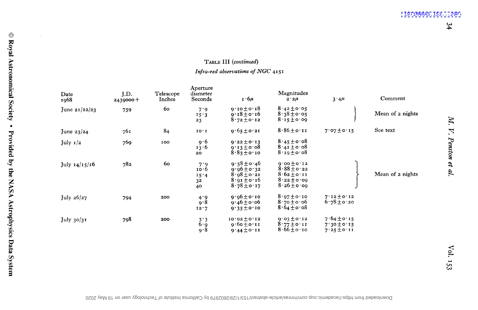# TABLE III (continued) Infra-red abservations of NGC 4151

| Date<br>1968    | J.D.<br>$2439000 +$ | Telescope<br>Inches | Aperture<br>diameter<br>Seconds                              | $1.6\mu$                                                                                    | Magnitudes<br>$2.2\mu$                                                                    | $3.4\mu$                                              | Comment          |
|-----------------|---------------------|---------------------|--------------------------------------------------------------|---------------------------------------------------------------------------------------------|-------------------------------------------------------------------------------------------|-------------------------------------------------------|------------------|
| June $21/22/23$ | 759                 | 60                  | 7.9<br>15.3<br>23                                            | $0.10 \pm 0.18$<br>$9.18 \pm 0.16$<br>$8.72 \pm 0.12$                                       | $8.42 \pm 0.05$<br>$8.38 \pm 0.05$<br>$8.15 \pm 0.09$                                     |                                                       | Mean of 2 nights |
| June $23/24$    | 761                 | 84                  | 10.1                                                         | $9.65 \pm 0.21$                                                                             | $8.86 \pm 0.11$                                                                           | $7.07 \pm 0.15$                                       | See text         |
| July $1/2$      | 769                 | 100                 | 9.6<br>13.6<br>20                                            | $9.22 \pm 0.13$<br>$9.13 \pm 0.08$<br>$8.83 \pm 0.10$                                       | $8.45 \pm 0.08$<br>$8.41 \pm 0.08$<br>$8.19 \pm 0.08$                                     |                                                       |                  |
| July $14/15/16$ | 782                 | 60                  | 7.9<br>10.6<br>15.4<br>3 <sup>2</sup><br>40                  | $9.58 \pm 0.46$<br>$9.96 \pm 0.32$<br>$8.08 \pm 0.21$<br>$8.91 \pm 0.16$<br>$8.78 \pm 0.17$ | $9.00 + 0.12$<br>$8.88 \pm 0.22$<br>$8.62 \pm 0.11$<br>$8.22 \pm 0.09$<br>$8.26 \pm 0.09$ |                                                       | Mean of 2 nights |
| July $26/27$    | 794                 | 200                 | 4.9<br>9.8<br>12.7                                           | $9.06 \pm 0.10$<br>$9.46 \pm 0.06$<br>$9.35 \pm 0.10$                                       | $8.97 \pm 0.10$<br>$8.70 \pm 0.06$<br>$8.64 \pm 0.08$                                     | $7.12 \pm 0.12$<br>$6.78 \pm 0.20$                    |                  |
| July $30/31$    | 798                 | 200                 | $\begin{array}{c} 3 \cdot 3 \\ 6 \cdot 9 \end{array}$<br>9.8 | $10.02 \pm 0.12$<br>$9.60 \pm 0.11$<br>$9.44 \pm 0.11$                                      | $9.03 \pm 0.12$<br>$8.77 \pm 0.11$<br>$8.66 \pm 0.10$                                     | $7.64 \pm 0.15$<br>$7.30 \pm 0.15$<br>$7.25 \pm 0.11$ |                  |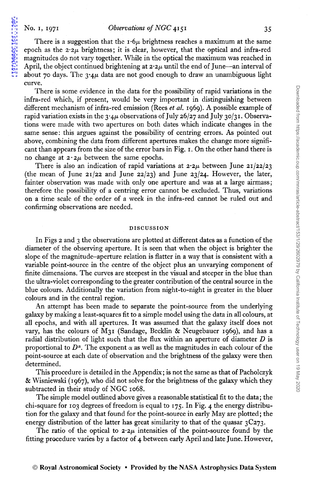1971MNRAS.153...29P

There is a suggestion that the  $\mathbf{r} \cdot \mathbf{6} \mu$  brightness reaches a maximum at the same epoch as the  $2.2\mu$  brightness; it is clear, however, that the optical and infra-red magnitudes do not vary together. While in the optical the maximum was reached in April, the object continued brightening at  $2.2\mu$  until the end of June-an interval of about 70 days. The  $3.4\mu$  data are not good enough to draw an unambiguous light curve.

There is some evidence in the data for the possibility of rapid variations in the infra-red which, if present, would be very important in distinguishing between different mechanism of infra-red emission (Rees *et al.* 1969). A possible example of rapid variation exists in the  $3.4\mu$  observations of July 26/27 and July 30/31. Observations were made with two apertures on both dates which indicate changes in the same sense: this argues against the possibility of centring errors. As pointed out above, combining the data from different apertures makes the change more significant than appears from the size of the error bars in Fig. I. On the other hand there is no change at  $2 \cdot 2\mu$  between the same epochs.

There is also an indication of rapid variations at  $2.2\mu$  between June  $21/22/23$ (the mean of June  $21/22$  and June  $22/23$ ) and June  $23/24$ . However, the later, fainter observation was made with only one aperture and was at a large airmass; therefore the possibility of a centring error cannot be excluded. Thus, variations on a time scale of the order of a week in the infra-red cannot be ruled out and confirming observations are needed.

#### DISCUSSION

In Figs 2 and 3 the observations are plotted at different dates as a function of the diameter of the observing aperture. It is seen that when the object is brighter the slope of the magnitude-aperture relation is flatter in a way that is consistent with a variable point-source in the centre of the object plus an unvarying component of finite dimensions. The curves are steepest in the visual and steeper in the blue than the ultra-violet corresponding to the greater contribution of the central source in the blue colours. Additionally the variation from night-to-night is greater in the bluer colours and in the central region.

An attempt has been made to separate the point-source from the underlying galaxy by making a least-squares fit to a simple model using the data in all colours, at all epochs, and with all apertures. It was assumed that the galaxy itself does not vary, has the colours of M3I (Sandage, Becklin & Neugebauer 1969), and has a radial distribution of light such that the flux within an aperture of diameter  $D$  is proportional to  $D^{\alpha}$ . The exponent  $\alpha$  as well as the magnitudes in each colour of the point-source at each date of observation and the brightness of the galaxy were then determined.

This procedure is detailed in the Appendix; is not the same as that of Pacholczyk & Wisniewski (1967), who did not solve for the brightness of the galaxy which they subtracted in their study of NGC 1068.

The simple model outlined above gives a reasonable statistical fit to the data; the chi-square for 103 degrees of freedom is equal to 175· In Fig. 4 the energy distribution for the galaxy and that found for the point-source in early May are plotted; the energy distribution of the latter has great similarity to that of the quasar  $3C_{273}$ .

The ratio of the optical to  $2.2\mu$  intensities of the point-source found by the fitting procedure varies by a factor of 4 between early April and late June. However,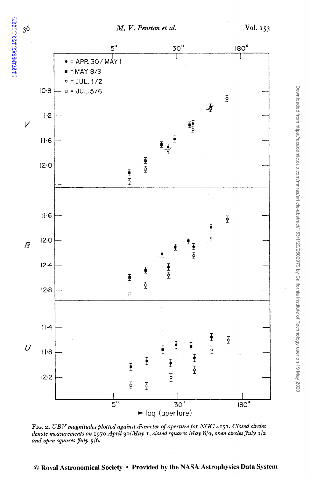

FIG. 2. *UBV magnitudes plotted against diameter of aperture for NGC* 4151. *Closed circles dmote measurements on* 1970 *April 30/May* 1, *closed squares May* 8/9, *open circles July* 1/2 *and open squares July* 5/6.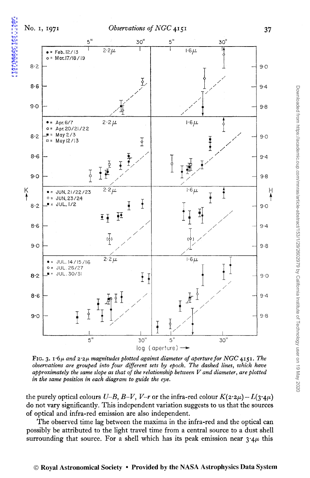1971MNRAS.153...29P



FIG. 3. 1<sup>.6</sup>µ and  $2.2\mu$  magnitudes plotted against diameter of aperture for NGC 4151. The *observations are grouped into four different sets by epoch. The dashed lines, which have approximately the same slope as that of the relationship between V and diameter, are plotted in the same position in each diagram to guide the eye.* 

the purely optical colours *U-B, B-V, V-r* or the infra-red colour  $K(2.2\mu) - L(3.4\mu)$ do not vary significantly. This independent variation suggests to us that the sources of optical and infra-red emission are also independent.

The observed time lag between the maxima in the infra-red and the optical can possibly be attributed to the light travel time from a central source to a dust shell surrounding that source. For a shell which has its peak emission near  $3.4\mu$  this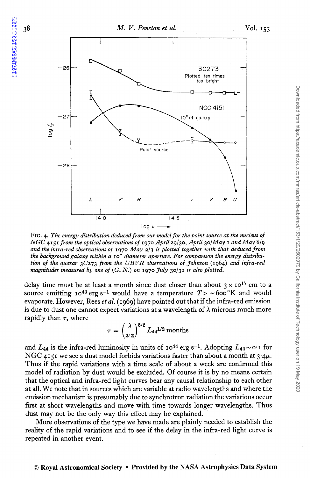

FIG. 4. The energy distribution deduced from our model for the point source at the nucleus of *NGC* 4151 *from the optical observations of* 1970 *April29/30, April 30/May land May* 8/9 *and the infra-red observations of* 1970 *May* 2/3 *is plotted together with that deduced from the background galaxy within a* lo" *diameter aperture. For comparison the energy distribution of the quasar* 3C273 *from the UBVR observations of Johnson* (1964) *and infra-red magnitudes measured by one of* (G. *N.) on* 1970 *July* 30/31 *is also plotted.* 

delay time must be at least a month since dust closer than about  $3 \times 10^{17}$  cm to a source emitting  $I_0^{43}$  erg s<sup>-1</sup> would have a temperature  $T > \sim 600$  K and would evaporate. However, Rees *et al.* ( 1969) have pointed out that if the infra-red emission is due to dust one cannot expect variations at a wavelength of  $\lambda$  microns much more rapidly than  $\tau$ , where

$$
\tau = \left(\frac{\lambda}{2 \cdot 2}\right)^{5/2} L_{44}^{1/2} \text{ months}
$$

and  $L_{44}$  is the infra-red luminosity in units of  $10^{44}$  erg s<sup>-1</sup>. Adopting  $L_{44} \sim o \cdot i$  for NGC 4151 we see a dust model forbids variations faster than about a month at  $3.4\mu$ . Thus if the rapid variations with a time scale of about a week are confirmed this model of radiation by dust would be excluded. Of course it is by no means certain that the optical and infra-red light curves bear any causal relationship to each other at all. We note that in sources which are variable at radio wavelengths and where the emission mechanism is presumably due to synchrotron radiation the variations occur first at short wavelengths and move with time towards longer wavelengths. Thus dust may not be the only way this effect may be explained.

More observations of the type we have made are plainly needed to establish the reality of the rapid variations and to see if the delay in the infra-red light curve is repeated in another event.

38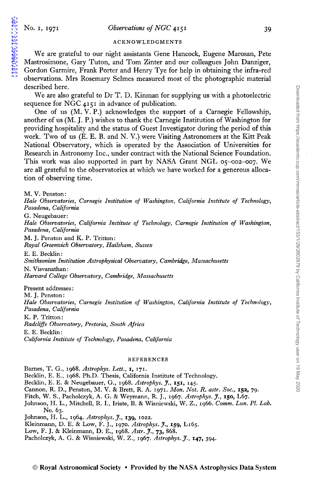1971MNRAS.153...29P

#### ACKNOWLEDGMENTS

We are grateful to our night assistants Gene Hancock, Eugene Marosan, Pete Mastrosimone, Gary Tuton, and Tom Zinter and our colleagues John Danziger, Gordon Garmire, Frank Porter and Henry Tye for help in obtaining the infra-red observations. Mrs Rosemary Selmes measured most of the photographic material described here.

We are also grateful to Dr T. D. Kinman for supplying us with a photoelectric sequence for NGC 4151 in advance of publication.

One of us (M. V. P.) acknowledges the support of a Carnegie Fellowship, another of us (M. J.P.) wishes to thank the Carnegie Institution of Washington for providing hospitality and the status of Guest Investigator during the period of this work. Two of us (E. E. B. and N. V.) were Visiting Astronomers at the Kitt Peak National Observatory, which is operated by the Association of Universities for Research in Astronomy Inc., under contract with the National Science Foundation. This work was also supported in part by NASA Grant NGL 05-002-007. We are all grateful to the observatories at which we have worked for a generous allocation of observing time.

M. V. Penston:

*Hale Observatories, Carnegie Institution of Washington, California Institute of Technology, Pasadena, California* 

G. Neugebauer:

*Hale Observatories, California Institute of Technology, Carnegie Institution of Washington, Pasadena, California* 

M. J. Penston and K. P. Tritton: *Royal Greenwich Observatory, Hai/sham, Sussex* 

E. E. Becklin: *Smithsonian Institution Astrophysical Observatory, Cambridge, Massachusetts*  N. Visvanathan: *Harvard College Observatory, Cambridge, Massachusetts* 

Present addresses: M. J. Penston: *Hale Observatories, Carnegie Institution of Washington, California Institute of Technolog\_v, Pasadena, California*  K. P. Tritton:

*Radcliffe Observatory, Pretoria, South Africa*  E. E. Becklin: *California Institute of Technology, Pasadena, California* 

#### REFERENCES

Barnes, T. G., 1968. Astrophys. Lett., 1, 171.

Becklin, E. E., 1968. Ph.D. Thesis, California Institute of Technology.

Becklin, E. E. & Neugebauer, G., 1968. *Astrophys.* J., 151, 145·

Cannon, R. D., Penston, M. V. & Brett, R. A. l97I. *Mon. Not. R. astr. Soc.,* 152, 79.

Fitch, W. S., Pacholczyk, A. G. & Weymann, R. J., 1967. *Astrophys.* J., 150, L67.

Johnson, H. L., Mitchell, R. I., Iriate, B. & Wisniewski, W. Z., 1966. *Comm. Lun. Pl. Lab.*  No. 63.

Johnson, H. L., 1964. *Astrophys.* J., 139, 1022.

Kleinmann, D. E. & Low, F. J., 1970. *Astrophys.* J., 159, L165.

Low, F. J. & Kleinmann, D. E., 1968. *Astr. J.,* 73, 868.

Pacholczyk, A. G. & Wisniewski, W. Z., 1967. Astrophys. J., 147, 394.